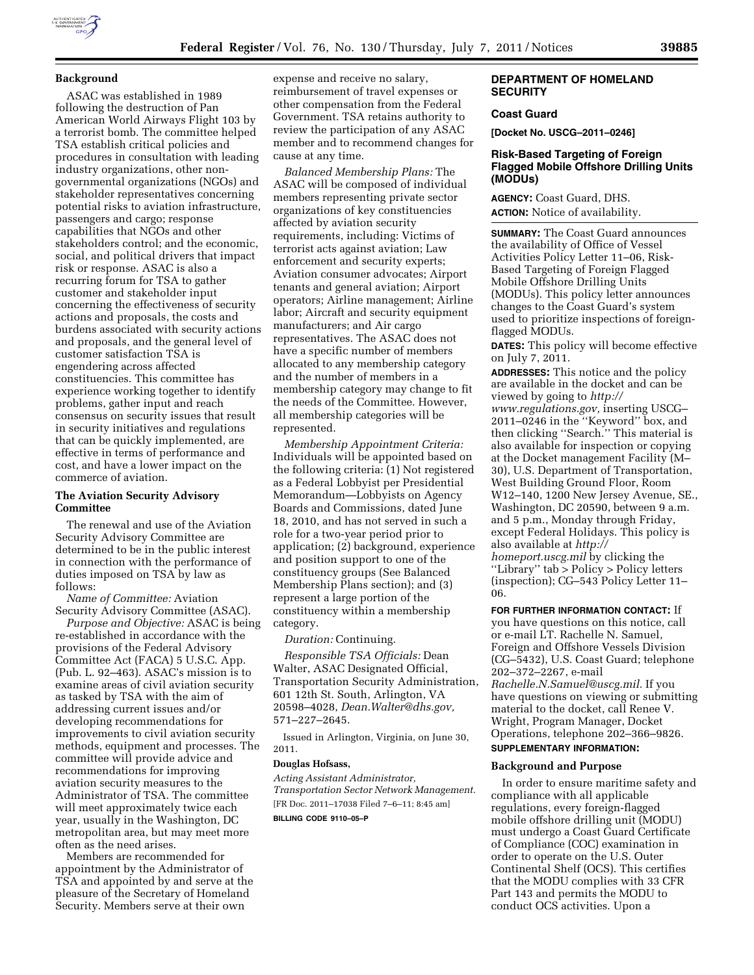## **Background**

ASAC was established in 1989 following the destruction of Pan American World Airways Flight 103 by a terrorist bomb. The committee helped TSA establish critical policies and procedures in consultation with leading industry organizations, other nongovernmental organizations (NGOs) and stakeholder representatives concerning potential risks to aviation infrastructure, passengers and cargo; response capabilities that NGOs and other stakeholders control; and the economic, social, and political drivers that impact risk or response. ASAC is also a recurring forum for TSA to gather customer and stakeholder input concerning the effectiveness of security actions and proposals, the costs and burdens associated with security actions and proposals, and the general level of customer satisfaction TSA is engendering across affected constituencies. This committee has experience working together to identify problems, gather input and reach consensus on security issues that result in security initiatives and regulations that can be quickly implemented, are effective in terms of performance and cost, and have a lower impact on the commerce of aviation.

#### **The Aviation Security Advisory Committee**

The renewal and use of the Aviation Security Advisory Committee are determined to be in the public interest in connection with the performance of duties imposed on TSA by law as follows:

*Name of Committee:* Aviation Security Advisory Committee (ASAC).

*Purpose and Objective:* ASAC is being re-established in accordance with the provisions of the Federal Advisory Committee Act (FACA) 5 U.S.C. App. (Pub. L. 92–463). ASAC's mission is to examine areas of civil aviation security as tasked by TSA with the aim of addressing current issues and/or developing recommendations for improvements to civil aviation security methods, equipment and processes. The committee will provide advice and recommendations for improving aviation security measures to the Administrator of TSA. The committee will meet approximately twice each year, usually in the Washington, DC metropolitan area, but may meet more often as the need arises.

Members are recommended for appointment by the Administrator of TSA and appointed by and serve at the pleasure of the Secretary of Homeland Security. Members serve at their own

expense and receive no salary, reimbursement of travel expenses or other compensation from the Federal Government. TSA retains authority to review the participation of any ASAC member and to recommend changes for cause at any time.

*Balanced Membership Plans:* The ASAC will be composed of individual members representing private sector organizations of key constituencies affected by aviation security requirements, including: Victims of terrorist acts against aviation; Law enforcement and security experts; Aviation consumer advocates; Airport tenants and general aviation; Airport operators; Airline management; Airline labor; Aircraft and security equipment manufacturers; and Air cargo representatives. The ASAC does not have a specific number of members allocated to any membership category and the number of members in a membership category may change to fit the needs of the Committee. However, all membership categories will be represented.

*Membership Appointment Criteria:*  Individuals will be appointed based on the following criteria: (1) Not registered as a Federal Lobbyist per Presidential Memorandum—Lobbyists on Agency Boards and Commissions, dated June 18, 2010, and has not served in such a role for a two-year period prior to application; (2) background, experience and position support to one of the constituency groups (See Balanced Membership Plans section); and (3) represent a large portion of the constituency within a membership category.

*Duration:* Continuing.

*Responsible TSA Officials:* Dean Walter, ASAC Designated Official, Transportation Security Administration, 601 12th St. South, Arlington, VA 20598–4028, *[Dean.Walter@dhs.gov,](mailto:Dean.Walter@dhs.gov)*  571–227–2645.

Issued in Arlington, Virginia, on June 30, 2011.

## **Douglas Hofsass,**

*Acting Assistant Administrator, Transportation Sector Network Management.*  [FR Doc. 2011–17038 Filed 7–6–11; 8:45 am]

# **BILLING CODE 9110–05–P**

## **DEPARTMENT OF HOMELAND SECURITY**

# **Coast Guard**

**[Docket No. USCG–2011–0246]** 

# **Risk-Based Targeting of Foreign Flagged Mobile Offshore Drilling Units (MODUs)**

**AGENCY:** Coast Guard, DHS. **ACTION:** Notice of availability.

**SUMMARY:** The Coast Guard announces the availability of Office of Vessel Activities Policy Letter 11–06, Risk-Based Targeting of Foreign Flagged Mobile Offshore Drilling Units (MODUs). This policy letter announces changes to the Coast Guard's system used to prioritize inspections of foreignflagged MODUs.

**DATES:** This policy will become effective on July 7, 2011.

**ADDRESSES:** This notice and the policy are available in the docket and can be viewed by going to *[http://](http://www.regulations.gov)  [www.regulations.gov,](http://www.regulations.gov)* inserting USCG– 2011–0246 in the ''Keyword'' box, and then clicking ''Search.'' This material is also available for inspection or copying at the Docket management Facility (M– 30), U.S. Department of Transportation, West Building Ground Floor, Room W12–140, 1200 New Jersey Avenue, SE., Washington, DC 20590, between 9 a.m. and 5 p.m., Monday through Friday, except Federal Holidays. This policy is also available at *[http://](http://homeport.uscg.mil)  [homeport.uscg.mil](http://homeport.uscg.mil)* by clicking the ''Library'' tab > Policy > Policy letters (inspection); CG–543 Policy Letter 11– 06.

#### **FOR FURTHER INFORMATION CONTACT:** If

you have questions on this notice, call or e-mail LT. Rachelle N. Samuel, Foreign and Offshore Vessels Division (CG–5432), U.S. Coast Guard; telephone 202–372–2267, e-mail *[Rachelle.N.Samuel@uscg.mil.](mailto:Rachelle.N.Samuel@uscg.mil)* If you have questions on viewing or submitting material to the docket, call Renee V. Wright, Program Manager, Docket Operations, telephone 202–366–9826.

# **SUPPLEMENTARY INFORMATION:**

## **Background and Purpose**

In order to ensure maritime safety and compliance with all applicable regulations, every foreign-flagged mobile offshore drilling unit (MODU) must undergo a Coast Guard Certificate of Compliance (COC) examination in order to operate on the U.S. Outer Continental Shelf (OCS). This certifies that the MODU complies with 33 CFR Part 143 and permits the MODU to conduct OCS activities. Upon a